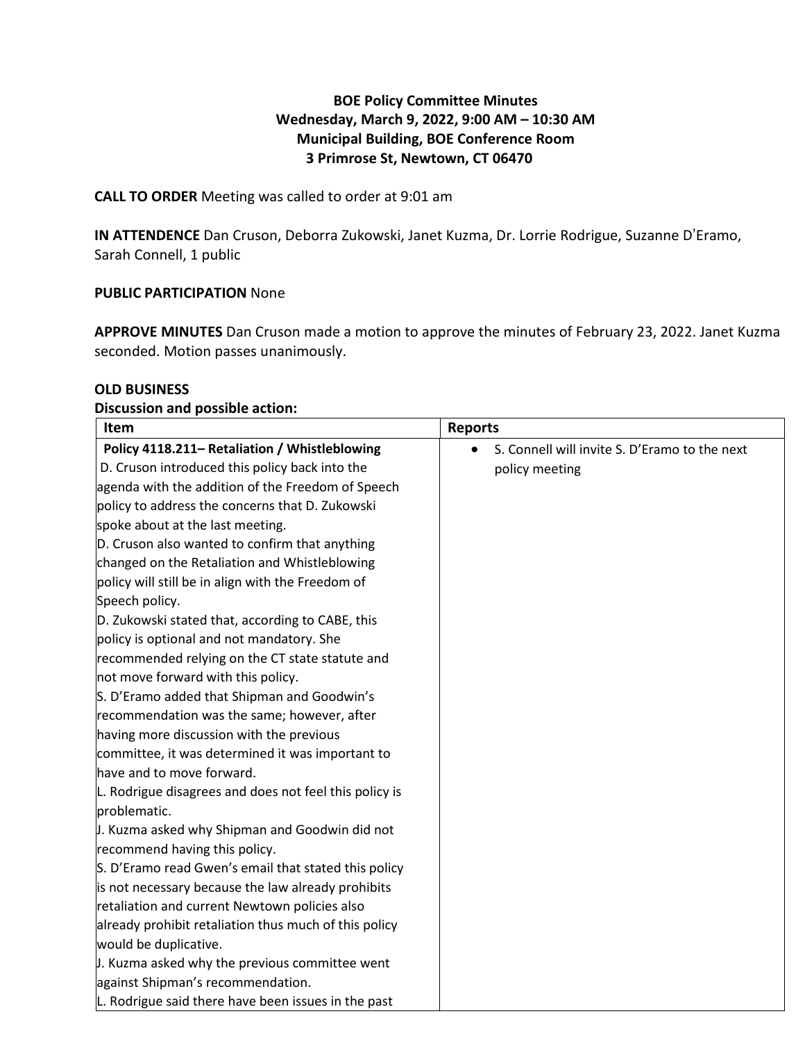## **BOE Policy Committee Minutes Wednesday, March 9, 2022, 9:00 AM – 10:30 AM Municipal Building, BOE Conference Room 3 Primrose St, Newtown, CT 06470**

### **CALL TO ORDER** Meeting was called to order at 9:01 am

**IN ATTENDENCE** Dan Cruson, Deborra Zukowski, Janet Kuzma, Dr. Lorrie Rodrigue, Suzanne D'Eramo, Sarah Connell, 1 public

#### **PUBLIC PARTICIPATION** None

**APPROVE MINUTES** Dan Cruson made a motion to approve the minutes of February 23, 2022. Janet Kuzma seconded. Motion passes unanimously.

#### **OLD BUSINESS**

#### **Discussion and possible action:**

| Item                                                   | <b>Reports</b>                                |
|--------------------------------------------------------|-----------------------------------------------|
| Policy 4118.211- Retaliation / Whistleblowing          | S. Connell will invite S. D'Eramo to the next |
| D. Cruson introduced this policy back into the         | policy meeting                                |
| agenda with the addition of the Freedom of Speech      |                                               |
| policy to address the concerns that D. Zukowski        |                                               |
| spoke about at the last meeting.                       |                                               |
| D. Cruson also wanted to confirm that anything         |                                               |
| changed on the Retaliation and Whistleblowing          |                                               |
| policy will still be in align with the Freedom of      |                                               |
| Speech policy.                                         |                                               |
| D. Zukowski stated that, according to CABE, this       |                                               |
| policy is optional and not mandatory. She              |                                               |
| recommended relying on the CT state statute and        |                                               |
| not move forward with this policy.                     |                                               |
| S. D'Eramo added that Shipman and Goodwin's            |                                               |
| recommendation was the same; however, after            |                                               |
| having more discussion with the previous               |                                               |
| committee, it was determined it was important to       |                                               |
| have and to move forward.                              |                                               |
| L. Rodrigue disagrees and does not feel this policy is |                                               |
| problematic.                                           |                                               |
| J. Kuzma asked why Shipman and Goodwin did not         |                                               |
| recommend having this policy.                          |                                               |
| S. D'Eramo read Gwen's email that stated this policy   |                                               |
| is not necessary because the law already prohibits     |                                               |
| retaliation and current Newtown policies also          |                                               |
| already prohibit retaliation thus much of this policy  |                                               |
| would be duplicative.                                  |                                               |
| J. Kuzma asked why the previous committee went         |                                               |
| against Shipman's recommendation.                      |                                               |
| L. Rodrigue said there have been issues in the past    |                                               |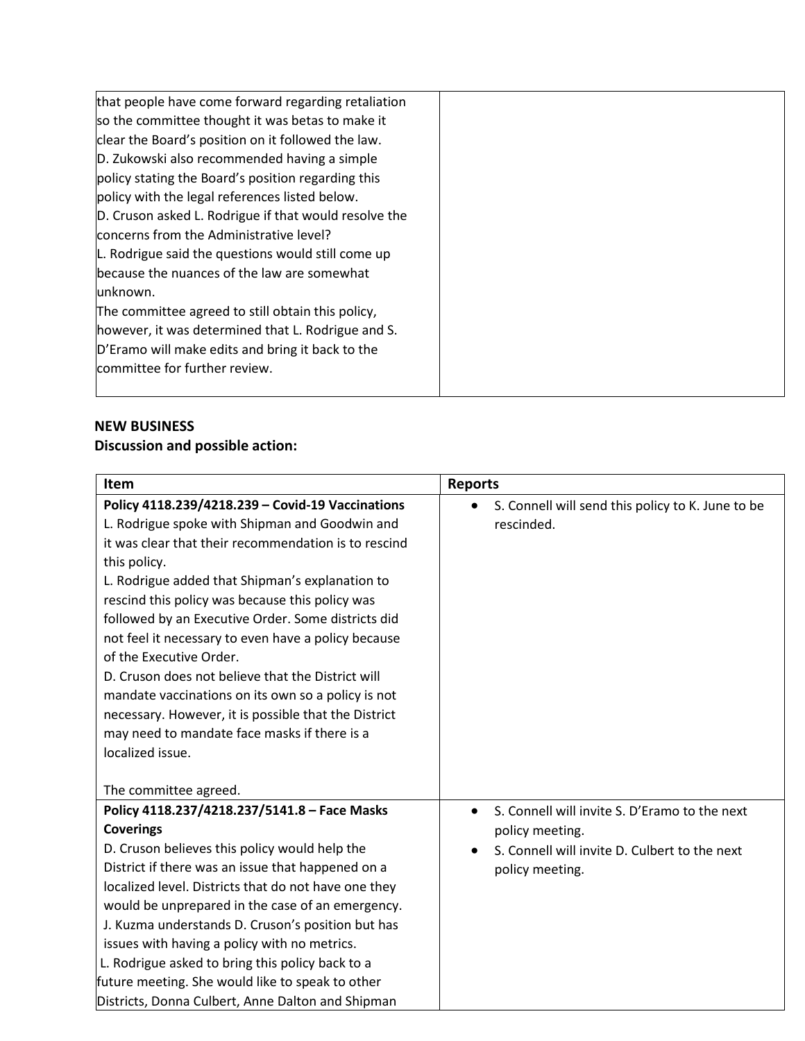| that people have come forward regarding retaliation   |  |
|-------------------------------------------------------|--|
| so the committee thought it was betas to make it      |  |
| clear the Board's position on it followed the law.    |  |
| D. Zukowski also recommended having a simple          |  |
| policy stating the Board's position regarding this    |  |
| policy with the legal references listed below.        |  |
| D. Cruson asked L. Rodrigue if that would resolve the |  |
| concerns from the Administrative level?               |  |
| L. Rodrigue said the questions would still come up    |  |
| because the nuances of the law are somewhat           |  |
| unknown.                                              |  |
| The committee agreed to still obtain this policy,     |  |
| however, it was determined that L. Rodrigue and S.    |  |
| D'Eramo will make edits and bring it back to the      |  |
| committee for further review.                         |  |
|                                                       |  |

## **NEW BUSINESS**

# **Discussion and possible action:**

| Item                                                                                                                                                                                                                                                                                                                                                                                                                                                                                                                                                                                                                                                            | <b>Reports</b>                                                                                                                       |
|-----------------------------------------------------------------------------------------------------------------------------------------------------------------------------------------------------------------------------------------------------------------------------------------------------------------------------------------------------------------------------------------------------------------------------------------------------------------------------------------------------------------------------------------------------------------------------------------------------------------------------------------------------------------|--------------------------------------------------------------------------------------------------------------------------------------|
| Policy 4118.239/4218.239 - Covid-19 Vaccinations<br>L. Rodrigue spoke with Shipman and Goodwin and<br>it was clear that their recommendation is to rescind<br>this policy.<br>L. Rodrigue added that Shipman's explanation to<br>rescind this policy was because this policy was<br>followed by an Executive Order. Some districts did<br>not feel it necessary to even have a policy because<br>of the Executive Order.<br>D. Cruson does not believe that the District will<br>mandate vaccinations on its own so a policy is not<br>necessary. However, it is possible that the District<br>may need to mandate face masks if there is a<br>localized issue. | S. Connell will send this policy to K. June to be<br>$\bullet$<br>rescinded.                                                         |
| The committee agreed.                                                                                                                                                                                                                                                                                                                                                                                                                                                                                                                                                                                                                                           |                                                                                                                                      |
| Policy 4118.237/4218.237/5141.8 - Face Masks<br><b>Coverings</b><br>D. Cruson believes this policy would help the<br>District if there was an issue that happened on a<br>localized level. Districts that do not have one they<br>would be unprepared in the case of an emergency.<br>J. Kuzma understands D. Cruson's position but has<br>issues with having a policy with no metrics.<br>L. Rodrigue asked to bring this policy back to a<br>future meeting. She would like to speak to other<br>Districts, Donna Culbert, Anne Dalton and Shipman                                                                                                            | S. Connell will invite S. D'Eramo to the next<br>policy meeting.<br>S. Connell will invite D. Culbert to the next<br>policy meeting. |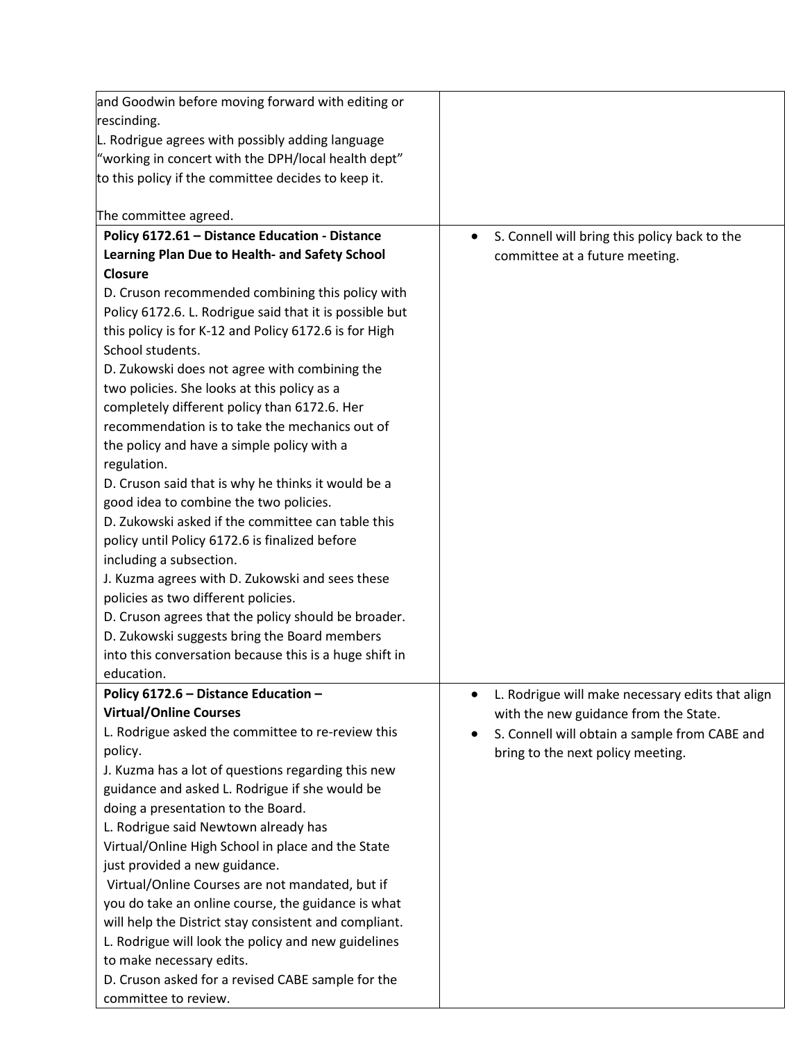| and Goodwin before moving forward with editing or                                                                                                                                                                                                                                                                                                                                                                                                                                                                                                                                                                                                  |                                                                                    |
|----------------------------------------------------------------------------------------------------------------------------------------------------------------------------------------------------------------------------------------------------------------------------------------------------------------------------------------------------------------------------------------------------------------------------------------------------------------------------------------------------------------------------------------------------------------------------------------------------------------------------------------------------|------------------------------------------------------------------------------------|
| rescinding.                                                                                                                                                                                                                                                                                                                                                                                                                                                                                                                                                                                                                                        |                                                                                    |
| L. Rodrigue agrees with possibly adding language                                                                                                                                                                                                                                                                                                                                                                                                                                                                                                                                                                                                   |                                                                                    |
| "working in concert with the DPH/local health dept"                                                                                                                                                                                                                                                                                                                                                                                                                                                                                                                                                                                                |                                                                                    |
| to this policy if the committee decides to keep it.                                                                                                                                                                                                                                                                                                                                                                                                                                                                                                                                                                                                |                                                                                    |
|                                                                                                                                                                                                                                                                                                                                                                                                                                                                                                                                                                                                                                                    |                                                                                    |
| The committee agreed.                                                                                                                                                                                                                                                                                                                                                                                                                                                                                                                                                                                                                              |                                                                                    |
| Policy 6172.61 - Distance Education - Distance                                                                                                                                                                                                                                                                                                                                                                                                                                                                                                                                                                                                     | S. Connell will bring this policy back to the<br>$\bullet$                         |
| Learning Plan Due to Health- and Safety School                                                                                                                                                                                                                                                                                                                                                                                                                                                                                                                                                                                                     | committee at a future meeting.                                                     |
| <b>Closure</b>                                                                                                                                                                                                                                                                                                                                                                                                                                                                                                                                                                                                                                     |                                                                                    |
| D. Cruson recommended combining this policy with                                                                                                                                                                                                                                                                                                                                                                                                                                                                                                                                                                                                   |                                                                                    |
| Policy 6172.6. L. Rodrigue said that it is possible but                                                                                                                                                                                                                                                                                                                                                                                                                                                                                                                                                                                            |                                                                                    |
| this policy is for K-12 and Policy 6172.6 is for High                                                                                                                                                                                                                                                                                                                                                                                                                                                                                                                                                                                              |                                                                                    |
| School students.                                                                                                                                                                                                                                                                                                                                                                                                                                                                                                                                                                                                                                   |                                                                                    |
| D. Zukowski does not agree with combining the                                                                                                                                                                                                                                                                                                                                                                                                                                                                                                                                                                                                      |                                                                                    |
| two policies. She looks at this policy as a                                                                                                                                                                                                                                                                                                                                                                                                                                                                                                                                                                                                        |                                                                                    |
| completely different policy than 6172.6. Her                                                                                                                                                                                                                                                                                                                                                                                                                                                                                                                                                                                                       |                                                                                    |
| recommendation is to take the mechanics out of                                                                                                                                                                                                                                                                                                                                                                                                                                                                                                                                                                                                     |                                                                                    |
| the policy and have a simple policy with a                                                                                                                                                                                                                                                                                                                                                                                                                                                                                                                                                                                                         |                                                                                    |
| regulation.                                                                                                                                                                                                                                                                                                                                                                                                                                                                                                                                                                                                                                        |                                                                                    |
| D. Cruson said that is why he thinks it would be a                                                                                                                                                                                                                                                                                                                                                                                                                                                                                                                                                                                                 |                                                                                    |
| good idea to combine the two policies.                                                                                                                                                                                                                                                                                                                                                                                                                                                                                                                                                                                                             |                                                                                    |
| D. Zukowski asked if the committee can table this                                                                                                                                                                                                                                                                                                                                                                                                                                                                                                                                                                                                  |                                                                                    |
| policy until Policy 6172.6 is finalized before                                                                                                                                                                                                                                                                                                                                                                                                                                                                                                                                                                                                     |                                                                                    |
| including a subsection.                                                                                                                                                                                                                                                                                                                                                                                                                                                                                                                                                                                                                            |                                                                                    |
| J. Kuzma agrees with D. Zukowski and sees these                                                                                                                                                                                                                                                                                                                                                                                                                                                                                                                                                                                                    |                                                                                    |
| policies as two different policies.                                                                                                                                                                                                                                                                                                                                                                                                                                                                                                                                                                                                                |                                                                                    |
| D. Cruson agrees that the policy should be broader.                                                                                                                                                                                                                                                                                                                                                                                                                                                                                                                                                                                                |                                                                                    |
| D. Zukowski suggests bring the Board members                                                                                                                                                                                                                                                                                                                                                                                                                                                                                                                                                                                                       |                                                                                    |
| into this conversation because this is a huge shift in                                                                                                                                                                                                                                                                                                                                                                                                                                                                                                                                                                                             |                                                                                    |
| education.                                                                                                                                                                                                                                                                                                                                                                                                                                                                                                                                                                                                                                         |                                                                                    |
| Policy 6172.6 - Distance Education -                                                                                                                                                                                                                                                                                                                                                                                                                                                                                                                                                                                                               | L. Rodrigue will make necessary edits that align<br>$\bullet$                      |
| <b>Virtual/Online Courses</b>                                                                                                                                                                                                                                                                                                                                                                                                                                                                                                                                                                                                                      | with the new guidance from the State.                                              |
|                                                                                                                                                                                                                                                                                                                                                                                                                                                                                                                                                                                                                                                    |                                                                                    |
|                                                                                                                                                                                                                                                                                                                                                                                                                                                                                                                                                                                                                                                    |                                                                                    |
|                                                                                                                                                                                                                                                                                                                                                                                                                                                                                                                                                                                                                                                    |                                                                                    |
|                                                                                                                                                                                                                                                                                                                                                                                                                                                                                                                                                                                                                                                    |                                                                                    |
|                                                                                                                                                                                                                                                                                                                                                                                                                                                                                                                                                                                                                                                    |                                                                                    |
|                                                                                                                                                                                                                                                                                                                                                                                                                                                                                                                                                                                                                                                    |                                                                                    |
|                                                                                                                                                                                                                                                                                                                                                                                                                                                                                                                                                                                                                                                    |                                                                                    |
|                                                                                                                                                                                                                                                                                                                                                                                                                                                                                                                                                                                                                                                    |                                                                                    |
|                                                                                                                                                                                                                                                                                                                                                                                                                                                                                                                                                                                                                                                    |                                                                                    |
|                                                                                                                                                                                                                                                                                                                                                                                                                                                                                                                                                                                                                                                    |                                                                                    |
|                                                                                                                                                                                                                                                                                                                                                                                                                                                                                                                                                                                                                                                    |                                                                                    |
|                                                                                                                                                                                                                                                                                                                                                                                                                                                                                                                                                                                                                                                    |                                                                                    |
|                                                                                                                                                                                                                                                                                                                                                                                                                                                                                                                                                                                                                                                    |                                                                                    |
| committee to review.                                                                                                                                                                                                                                                                                                                                                                                                                                                                                                                                                                                                                               |                                                                                    |
| L. Rodrigue asked the committee to re-review this<br>policy.<br>J. Kuzma has a lot of questions regarding this new<br>guidance and asked L. Rodrigue if she would be<br>doing a presentation to the Board.<br>L. Rodrigue said Newtown already has<br>Virtual/Online High School in place and the State<br>just provided a new guidance.<br>Virtual/Online Courses are not mandated, but if<br>you do take an online course, the guidance is what<br>will help the District stay consistent and compliant.<br>L. Rodrigue will look the policy and new guidelines<br>to make necessary edits.<br>D. Cruson asked for a revised CABE sample for the | S. Connell will obtain a sample from CABE and<br>bring to the next policy meeting. |